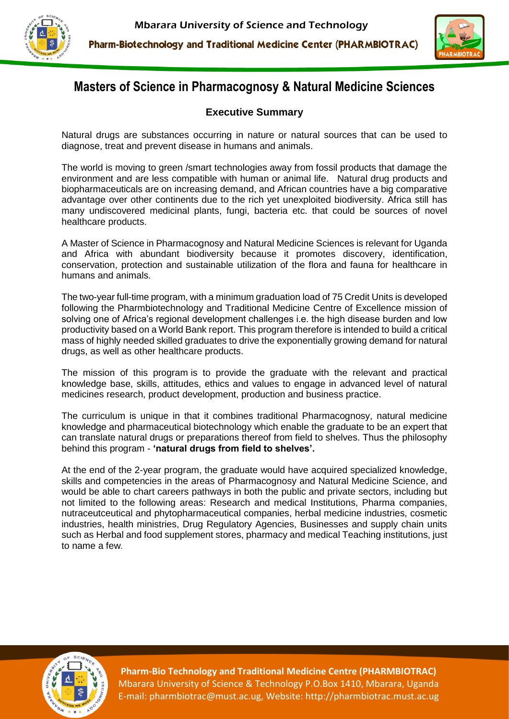



## **Masters of Science in Pharmacognosy & Natural Medicine Sciences**

### **Executive Summary**

Natural drugs are substances occurring in nature or natural sources that can be used to diagnose, treat and prevent disease in humans and animals.

The world is moving to green /smart technologies away from fossil products that damage the environment and are less compatible with human or animal life. Natural drug products and biopharmaceuticals are on increasing demand, and African countries have a big comparative advantage over other continents due to the rich yet unexploited biodiversity. Africa still has many undiscovered medicinal plants, fungi, bacteria etc. that could be sources of novel healthcare products.

A Master of Science in Pharmacognosy and Natural Medicine Sciences is relevant for Uganda and Africa with abundant biodiversity because it promotes discovery, identification, conservation, protection and sustainable utilization of the flora and fauna for healthcare in humans and animals.

The two-year full-time program, with a minimum graduation load of 75 Credit Units is developed following the Pharmbiotechnology and Traditional Medicine Centre of Excellence mission of solving one of Africa's regional development challenges i.e. the high disease burden and low productivity based on a World Bank report. This program therefore is intended to build a critical mass of highly needed skilled graduates to drive the exponentially growing demand for natural drugs, as well as other healthcare products.

The mission of this program is to provide the graduate with the relevant and practical knowledge base, skills, attitudes, ethics and values to engage in advanced level of natural medicines research, product development, production and business practice.

The curriculum is unique in that it combines traditional Pharmacognosy, natural medicine knowledge and pharmaceutical biotechnology which enable the graduate to be an expert that can translate natural drugs or preparations thereof from field to shelves. Thus the philosophy behind this program - **'natural drugs from field to shelves'.**

At the end of the 2-year program, the graduate would have acquired specialized knowledge, skills and competencies in the areas of Pharmacognosy and Natural Medicine Science, and would be able to chart careers pathways in both the public and private sectors, including but not limited to the following areas: Research and medical Institutions, Pharma companies, nutraceutceutical and phytopharmaceutical companies, herbal medicine industries, cosmetic industries, health ministries, Drug Regulatory Agencies, Businesses and supply chain units such as Herbal and food supplement stores, pharmacy and medical Teaching institutions, just to name a few.



**Pharm-Bio Technology and Traditional Medicine Centre (PHARMBIOTRAC)** Mbarara University of Science & Technology P.O.Box 1410, Mbarara, Uganda E-mail: pharmbiotrac@must.ac.ug, Website: http://pharmbiotrac.must.ac.ug